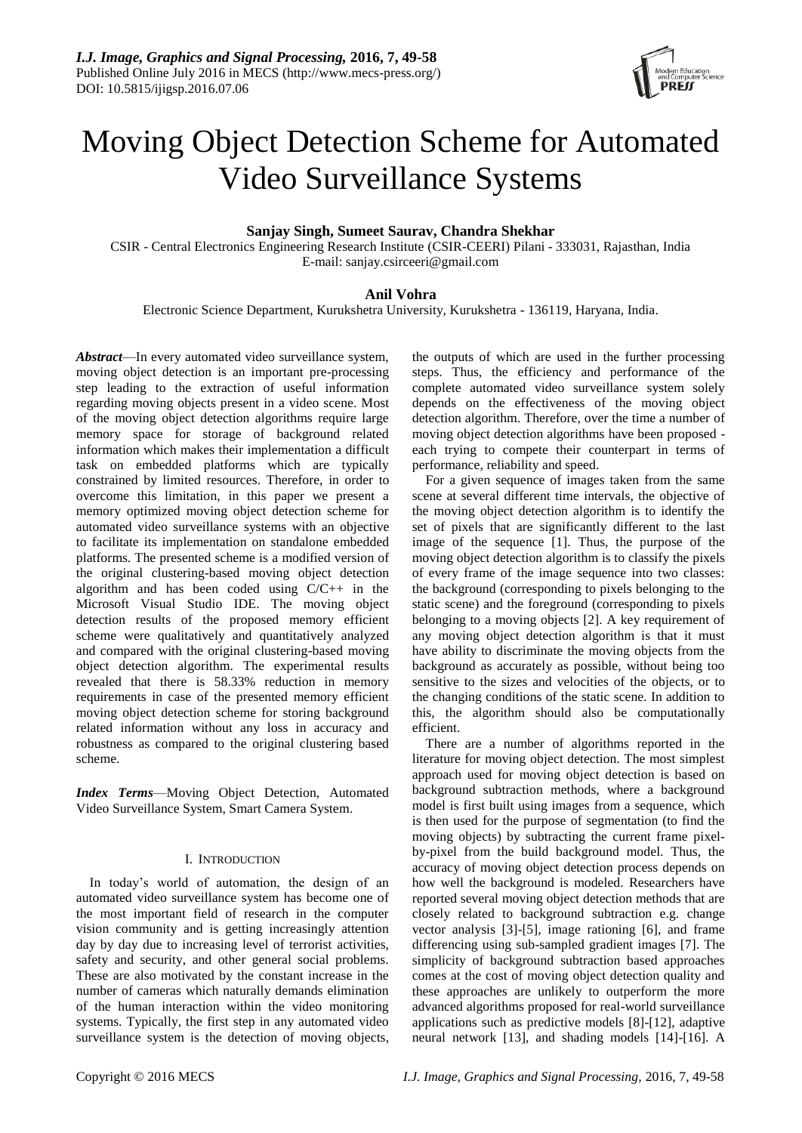

# Moving Object Detection Scheme for Automated Video Surveillance Systems

## **Sanjay Singh, Sumeet Saurav, Chandra Shekhar**

CSIR - Central Electronics Engineering Research Institute (CSIR-CEERI) Pilani - 333031, Rajasthan, India E-mail: sanjay.csirceeri@gmail.com

# **Anil Vohra**

Electronic Science Department, Kurukshetra University, Kurukshetra - 136119, Haryana, India.

*Abstract*—In every automated video surveillance system, moving object detection is an important pre-processing step leading to the extraction of useful information regarding moving objects present in a video scene. Most of the moving object detection algorithms require large memory space for storage of background related information which makes their implementation a difficult task on embedded platforms which are typically constrained by limited resources. Therefore, in order to overcome this limitation, in this paper we present a memory optimized moving object detection scheme for automated video surveillance systems with an objective to facilitate its implementation on standalone embedded platforms. The presented scheme is a modified version of the original clustering-based moving object detection algorithm and has been coded using C/C++ in the Microsoft Visual Studio IDE. The moving object detection results of the proposed memory efficient scheme were qualitatively and quantitatively analyzed and compared with the original clustering-based moving object detection algorithm. The experimental results revealed that there is 58.33% reduction in memory requirements in case of the presented memory efficient moving object detection scheme for storing background related information without any loss in accuracy and robustness as compared to the original clustering based scheme.

*Index Terms*—Moving Object Detection, Automated Video Surveillance System, Smart Camera System.

### I. INTRODUCTION

In today's world of automation, the design of an automated video surveillance system has become one of the most important field of research in the computer vision community and is getting increasingly attention day by day due to increasing level of terrorist activities, safety and security, and other general social problems. These are also motivated by the constant increase in the number of cameras which naturally demands elimination of the human interaction within the video monitoring systems. Typically, the first step in any automated video surveillance system is the detection of moving objects,

the outputs of which are used in the further processing steps. Thus, the efficiency and performance of the complete automated video surveillance system solely depends on the effectiveness of the moving object detection algorithm. Therefore, over the time a number of moving object detection algorithms have been proposed each trying to compete their counterpart in terms of performance, reliability and speed.

For a given sequence of images taken from the same scene at several different time intervals, the objective of the moving object detection algorithm is to identify the set of pixels that are significantly different to the last image of the sequence [1]. Thus, the purpose of the moving object detection algorithm is to classify the pixels of every frame of the image sequence into two classes: the background (corresponding to pixels belonging to the static scene) and the foreground (corresponding to pixels belonging to a moving objects [2]. A key requirement of any moving object detection algorithm is that it must have ability to discriminate the moving objects from the background as accurately as possible, without being too sensitive to the sizes and velocities of the objects, or to the changing conditions of the static scene. In addition to this, the algorithm should also be computationally efficient.

There are a number of algorithms reported in the literature for moving object detection. The most simplest approach used for moving object detection is based on background subtraction methods, where a background model is first built using images from a sequence, which is then used for the purpose of segmentation (to find the moving objects) by subtracting the current frame pixelby-pixel from the build background model. Thus, the accuracy of moving object detection process depends on how well the background is modeled. Researchers have reported several moving object detection methods that are closely related to background subtraction e.g. change vector analysis [3]-[5], image rationing [6], and frame differencing using sub-sampled gradient images [7]. The simplicity of background subtraction based approaches comes at the cost of moving object detection quality and these approaches are unlikely to outperform the more advanced algorithms proposed for real-world surveillance applications such as predictive models [8]-[12], adaptive neural network [13], and shading models [14]-[16]. A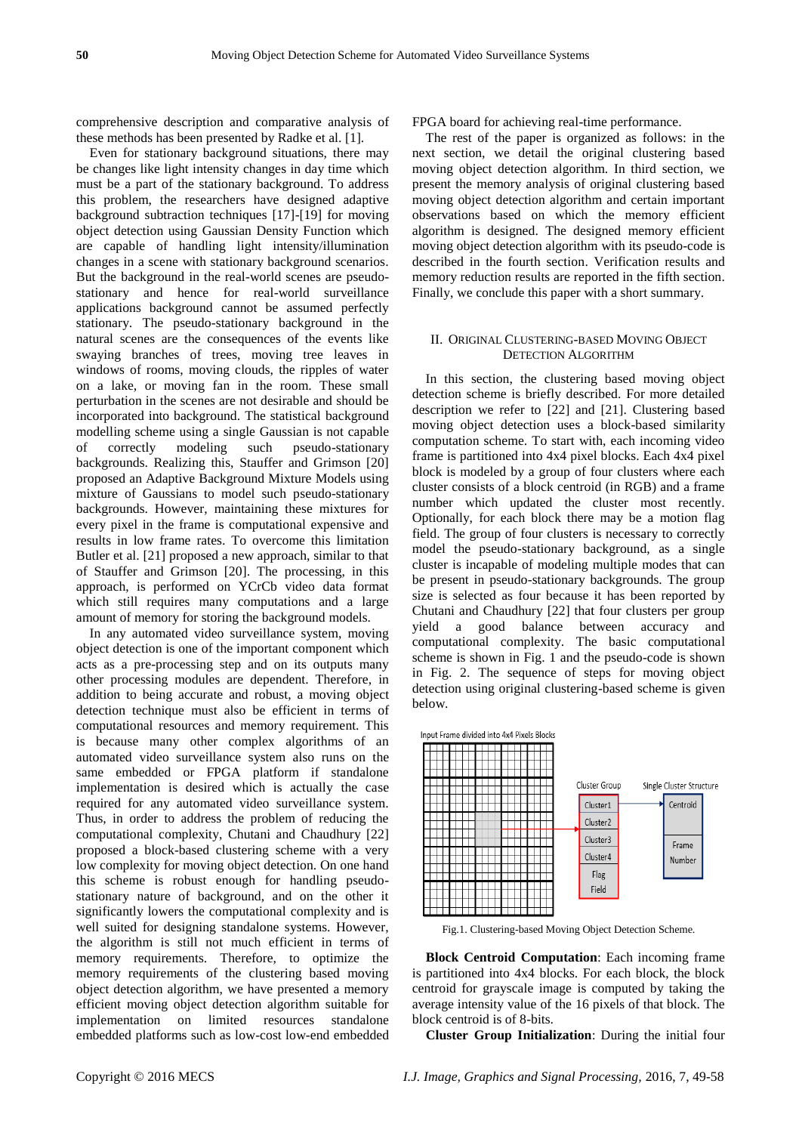comprehensive description and comparative analysis of these methods has been presented by Radke et al. [1].

Even for stationary background situations, there may be changes like light intensity changes in day time which must be a part of the stationary background. To address this problem, the researchers have designed adaptive background subtraction techniques [17]-[19] for moving object detection using Gaussian Density Function which are capable of handling light intensity/illumination changes in a scene with stationary background scenarios. But the background in the real-world scenes are pseudostationary and hence for real-world surveillance applications background cannot be assumed perfectly stationary. The pseudo-stationary background in the natural scenes are the consequences of the events like swaying branches of trees, moving tree leaves in windows of rooms, moving clouds, the ripples of water on a lake, or moving fan in the room. These small perturbation in the scenes are not desirable and should be incorporated into background. The statistical background modelling scheme using a single Gaussian is not capable of correctly modeling such pseudo-stationary backgrounds. Realizing this, Stauffer and Grimson [20] proposed an Adaptive Background Mixture Models using mixture of Gaussians to model such pseudo-stationary backgrounds. However, maintaining these mixtures for every pixel in the frame is computational expensive and results in low frame rates. To overcome this limitation Butler et al. [21] proposed a new approach, similar to that of Stauffer and Grimson [20]. The processing, in this approach, is performed on YCrCb video data format which still requires many computations and a large amount of memory for storing the background models.

In any automated video surveillance system, moving object detection is one of the important component which acts as a pre-processing step and on its outputs many other processing modules are dependent. Therefore, in addition to being accurate and robust, a moving object detection technique must also be efficient in terms of computational resources and memory requirement. This is because many other complex algorithms of an automated video surveillance system also runs on the same embedded or FPGA platform if standalone implementation is desired which is actually the case required for any automated video surveillance system. Thus, in order to address the problem of reducing the computational complexity, Chutani and Chaudhury [22] proposed a block-based clustering scheme with a very low complexity for moving object detection. On one hand this scheme is robust enough for handling pseudostationary nature of background, and on the other it significantly lowers the computational complexity and is well suited for designing standalone systems. However, the algorithm is still not much efficient in terms of memory requirements. Therefore, to optimize the memory requirements of the clustering based moving object detection algorithm, we have presented a memory efficient moving object detection algorithm suitable for implementation on limited resources standalone embedded platforms such as low-cost low-end embedded

FPGA board for achieving real-time performance.

The rest of the paper is organized as follows: in the next section, we detail the original clustering based moving object detection algorithm. In third section, we present the memory analysis of original clustering based moving object detection algorithm and certain important observations based on which the memory efficient algorithm is designed. The designed memory efficient moving object detection algorithm with its pseudo-code is described in the fourth section. Verification results and memory reduction results are reported in the fifth section. Finally, we conclude this paper with a short summary.

### II. ORIGINAL CLUSTERING-BASED MOVING OBJECT DETECTION ALGORITHM

In this section, the clustering based moving object detection scheme is briefly described. For more detailed description we refer to [22] and [21]. Clustering based moving object detection uses a block-based similarity computation scheme. To start with, each incoming video frame is partitioned into 4x4 pixel blocks. Each 4x4 pixel block is modeled by a group of four clusters where each cluster consists of a block centroid (in RGB) and a frame number which updated the cluster most recently. Optionally, for each block there may be a motion flag field. The group of four clusters is necessary to correctly model the pseudo-stationary background, as a single cluster is incapable of modeling multiple modes that can be present in pseudo-stationary backgrounds. The group size is selected as four because it has been reported by Chutani and Chaudhury [22] that four clusters per group yield a good balance between accuracy and computational complexity. The basic computational scheme is shown in Fig. 1 and the pseudo-code is shown in Fig. 2. The sequence of steps for moving object detection using original clustering-based scheme is given below.



Fig.1. Clustering-based Moving Object Detection Scheme.

**Block Centroid Computation**: Each incoming frame is partitioned into 4x4 blocks. For each block, the block centroid for grayscale image is computed by taking the average intensity value of the 16 pixels of that block. The block centroid is of 8-bits.

**Cluster Group Initialization**: During the initial four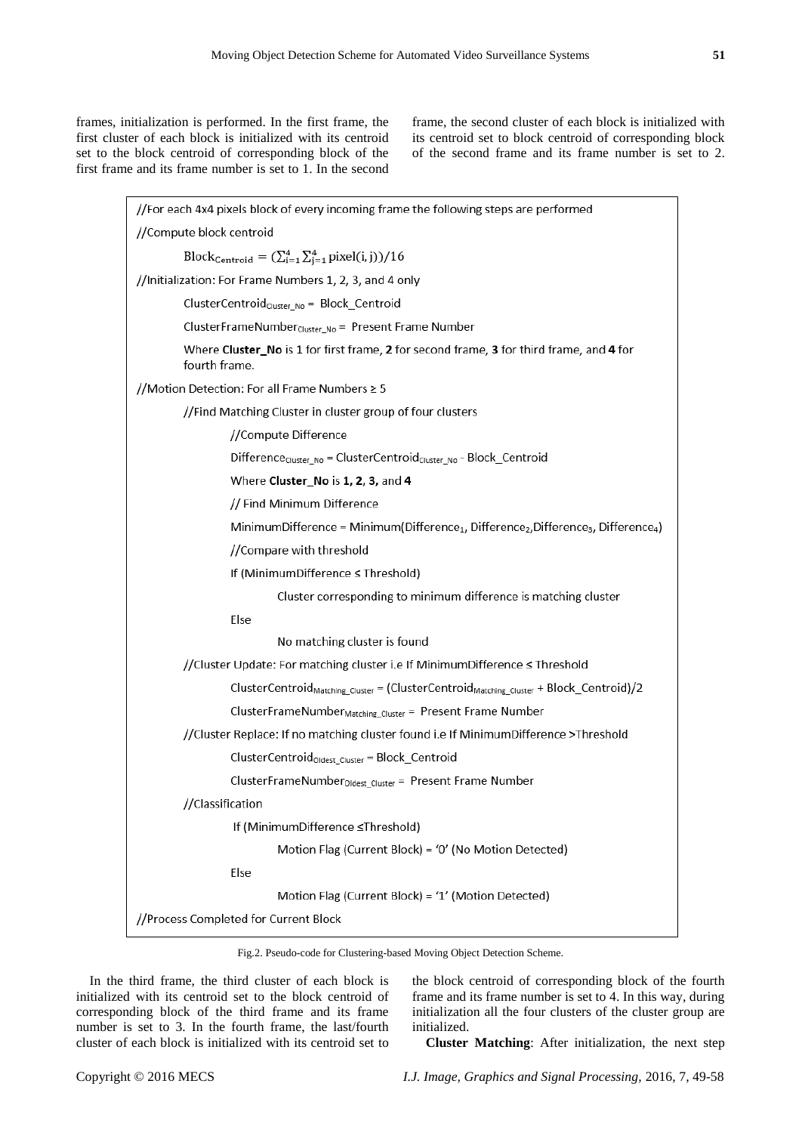frames, initialization is performed. In the first frame, the first cluster of each block is initialized with its centroid set to the block centroid of corresponding block of the first frame and its frame number is set to 1. In the second frame, the second cluster of each block is initialized with its centroid set to block centroid of corresponding block of the second frame and its frame number is set to 2.

| //For each 4x4 pixels block of every incoming frame the following steps are performed                                               |  |  |  |  |
|-------------------------------------------------------------------------------------------------------------------------------------|--|--|--|--|
| //Compute block centroid                                                                                                            |  |  |  |  |
| Block <sub>Centroid</sub> = $(\sum_{i=1}^{4} \sum_{j=1}^{4}$ pixel(i, j))/16                                                        |  |  |  |  |
| //Initialization: For Frame Numbers 1, 2, 3, and 4 only                                                                             |  |  |  |  |
| ClusterCentroid <sub>Cluster_No</sub> = Block_Centroid                                                                              |  |  |  |  |
| ClusterFrameNumber <sub>Cluster_No</sub> = Present Frame Number                                                                     |  |  |  |  |
| Where Cluster_No is 1 for first frame, 2 for second frame, 3 for third frame, and 4 for<br>fourth frame.                            |  |  |  |  |
| //Motion Detection: For all Frame Numbers ≥ 5                                                                                       |  |  |  |  |
| //Find Matching Cluster in cluster group of four clusters                                                                           |  |  |  |  |
| //Compute Difference                                                                                                                |  |  |  |  |
| $Difference_{Cluster\_No} = ClusterCentroid_{Cluster\_No} - Block\_Centroid$                                                        |  |  |  |  |
| Where Cluster_No is 1, 2, 3, and 4                                                                                                  |  |  |  |  |
| // Find Minimum Difference                                                                                                          |  |  |  |  |
| MinimumDifference = Minimum(Difference <sub>1</sub> , Difference <sub>2</sub> , Difference <sub>3</sub> , Difference <sub>4</sub> ) |  |  |  |  |
| //Compare with threshold                                                                                                            |  |  |  |  |
| If (MinimumDifference ≤ Threshold)                                                                                                  |  |  |  |  |
| Cluster corresponding to minimum difference is matching cluster                                                                     |  |  |  |  |
| Else                                                                                                                                |  |  |  |  |
| No matching cluster is found                                                                                                        |  |  |  |  |
| //Cluster Update: For matching cluster i.e If MinimumDifference ≤ Threshold                                                         |  |  |  |  |
| ClusterCentroid <sub>Matching_Cluster</sub> = (ClusterCentroid <sub>Matching_Cluster</sub> + Block_Centroid)/2                      |  |  |  |  |
| ClusterFrameNumber <sub>Matching</sub> Cluster = Present Frame Number                                                               |  |  |  |  |
| //Cluster Replace: If no matching cluster found i.e If MinimumDifference >Threshold                                                 |  |  |  |  |
| ClusterCentroid <sub>Oldest_Cluster</sub> = Block_Centroid                                                                          |  |  |  |  |
| ClusterFrameNumber <sub>Oldest_Cluster</sub> = Present Frame Number                                                                 |  |  |  |  |
| //Classification                                                                                                                    |  |  |  |  |
| If (MinimumDifference ≤Threshold)                                                                                                   |  |  |  |  |
| Motion Flag (Current Block) = '0' (No Motion Detected)                                                                              |  |  |  |  |
| Else                                                                                                                                |  |  |  |  |
| Motion Flag (Current Block) = '1' (Motion Detected)                                                                                 |  |  |  |  |
| //Process Completed for Current Block                                                                                               |  |  |  |  |

Fig.2. Pseudo-code for Clustering-based Moving Object Detection Scheme.

In the third frame, the third cluster of each block is initialized with its centroid set to the block centroid of corresponding block of the third frame and its frame number is set to 3. In the fourth frame, the last/fourth cluster of each block is initialized with its centroid set to

the block centroid of corresponding block of the fourth frame and its frame number is set to 4. In this way, during initialization all the four clusters of the cluster group are initialized.

**Cluster Matching**: After initialization, the next step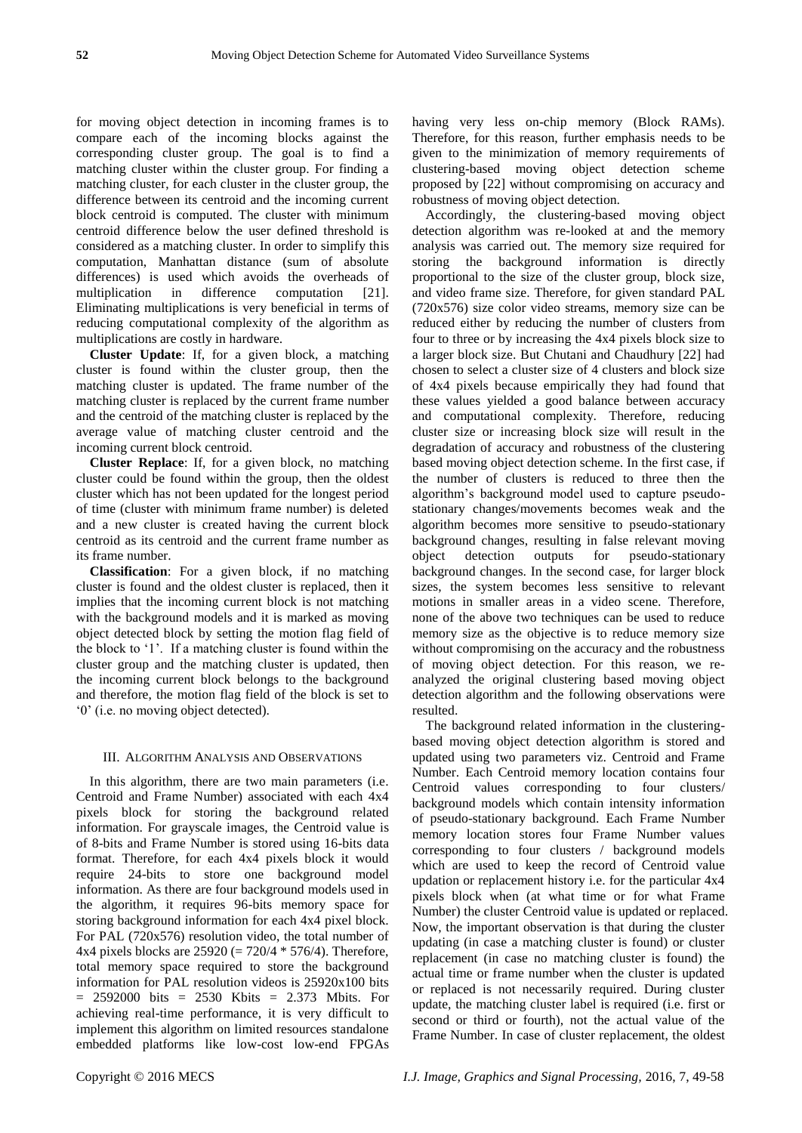for moving object detection in incoming frames is to compare each of the incoming blocks against the corresponding cluster group. The goal is to find a matching cluster within the cluster group. For finding a matching cluster, for each cluster in the cluster group, the difference between its centroid and the incoming current block centroid is computed. The cluster with minimum centroid difference below the user defined threshold is considered as a matching cluster. In order to simplify this computation, Manhattan distance (sum of absolute differences) is used which avoids the overheads of multiplication in difference computation [21]. Eliminating multiplications is very beneficial in terms of reducing computational complexity of the algorithm as multiplications are costly in hardware.

**Cluster Update**: If, for a given block, a matching cluster is found within the cluster group, then the matching cluster is updated. The frame number of the matching cluster is replaced by the current frame number and the centroid of the matching cluster is replaced by the average value of matching cluster centroid and the incoming current block centroid.

**Cluster Replace**: If, for a given block, no matching cluster could be found within the group, then the oldest cluster which has not been updated for the longest period of time (cluster with minimum frame number) is deleted and a new cluster is created having the current block centroid as its centroid and the current frame number as its frame number.

**Classification**: For a given block, if no matching cluster is found and the oldest cluster is replaced, then it implies that the incoming current block is not matching with the background models and it is marked as moving object detected block by setting the motion flag field of the block to ‗1'. If a matching cluster is found within the cluster group and the matching cluster is updated, then the incoming current block belongs to the background and therefore, the motion flag field of the block is set to ‗0' (i.e. no moving object detected).

#### III. ALGORITHM ANALYSIS AND OBSERVATIONS

In this algorithm, there are two main parameters (i.e. Centroid and Frame Number) associated with each 4x4 pixels block for storing the background related information. For grayscale images, the Centroid value is of 8-bits and Frame Number is stored using 16-bits data format. Therefore, for each 4x4 pixels block it would require 24-bits to store one background model information. As there are four background models used in the algorithm, it requires 96-bits memory space for storing background information for each 4x4 pixel block. For PAL (720x576) resolution video, the total number of 4x4 pixels blocks are 25920 (= 720/4 \* 576/4). Therefore, total memory space required to store the background information for PAL resolution videos is 25920x100 bits  $= 2592000$  bits  $= 2530$  Kbits  $= 2.373$  Mbits. For achieving real-time performance, it is very difficult to implement this algorithm on limited resources standalone embedded platforms like low-cost low-end FPGAs having very less on-chip memory (Block RAMs). Therefore, for this reason, further emphasis needs to be given to the minimization of memory requirements of clustering-based moving object detection scheme proposed by [22] without compromising on accuracy and robustness of moving object detection.

Accordingly, the clustering-based moving object detection algorithm was re-looked at and the memory analysis was carried out. The memory size required for storing the background information is directly proportional to the size of the cluster group, block size, and video frame size. Therefore, for given standard PAL (720x576) size color video streams, memory size can be reduced either by reducing the number of clusters from four to three or by increasing the 4x4 pixels block size to a larger block size. But Chutani and Chaudhury [22] had chosen to select a cluster size of 4 clusters and block size of 4x4 pixels because empirically they had found that these values yielded a good balance between accuracy and computational complexity. Therefore, reducing cluster size or increasing block size will result in the degradation of accuracy and robustness of the clustering based moving object detection scheme. In the first case, if the number of clusters is reduced to three then the algorithm's background model used to capture pseudostationary changes/movements becomes weak and the algorithm becomes more sensitive to pseudo-stationary background changes, resulting in false relevant moving object detection outputs for pseudo-stationary background changes. In the second case, for larger block sizes, the system becomes less sensitive to relevant motions in smaller areas in a video scene. Therefore, none of the above two techniques can be used to reduce memory size as the objective is to reduce memory size without compromising on the accuracy and the robustness of moving object detection. For this reason, we reanalyzed the original clustering based moving object detection algorithm and the following observations were resulted.

The background related information in the clusteringbased moving object detection algorithm is stored and updated using two parameters viz. Centroid and Frame Number. Each Centroid memory location contains four Centroid values corresponding to four clusters/ background models which contain intensity information of pseudo-stationary background. Each Frame Number memory location stores four Frame Number values corresponding to four clusters / background models which are used to keep the record of Centroid value updation or replacement history i.e. for the particular 4x4 pixels block when (at what time or for what Frame Number) the cluster Centroid value is updated or replaced. Now, the important observation is that during the cluster updating (in case a matching cluster is found) or cluster replacement (in case no matching cluster is found) the actual time or frame number when the cluster is updated or replaced is not necessarily required. During cluster update, the matching cluster label is required (i.e. first or second or third or fourth), not the actual value of the Frame Number. In case of cluster replacement, the oldest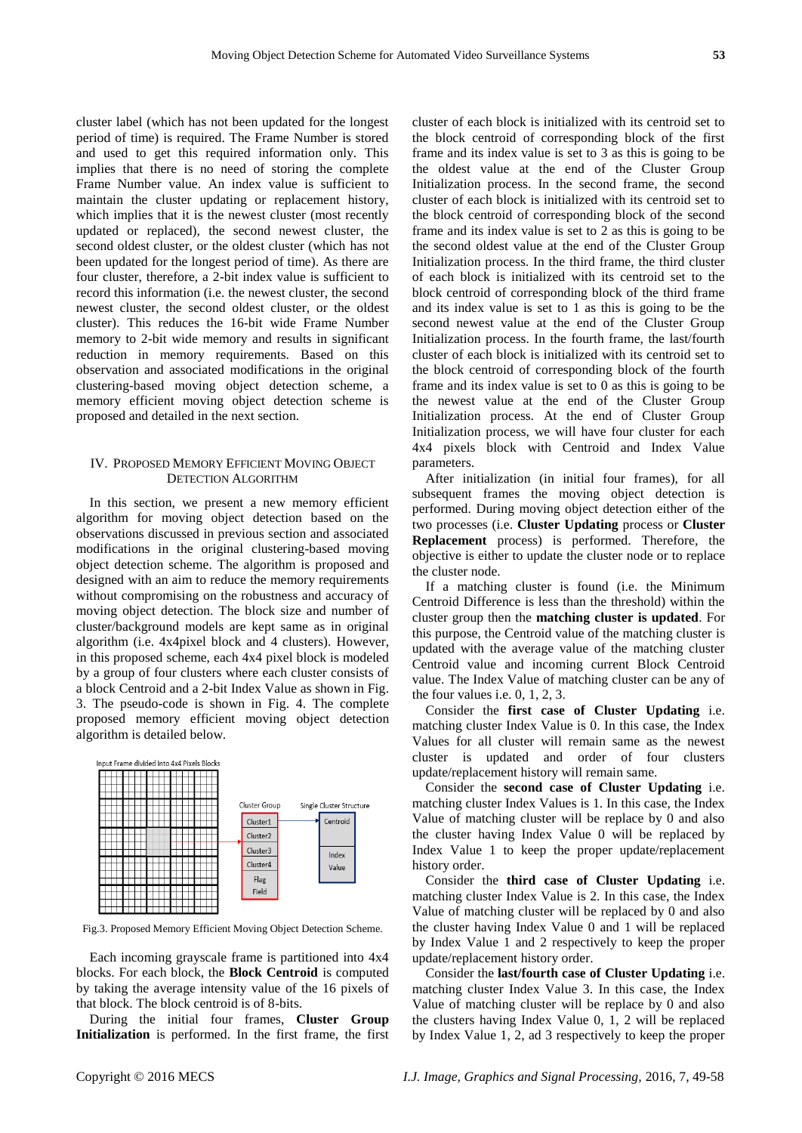cluster label (which has not been updated for the longest period of time) is required. The Frame Number is stored and used to get this required information only. This implies that there is no need of storing the complete Frame Number value. An index value is sufficient to maintain the cluster updating or replacement history, which implies that it is the newest cluster (most recently updated or replaced), the second newest cluster, the second oldest cluster, or the oldest cluster (which has not been updated for the longest period of time). As there are four cluster, therefore, a 2-bit index value is sufficient to record this information (i.e. the newest cluster, the second newest cluster, the second oldest cluster, or the oldest cluster). This reduces the 16-bit wide Frame Number memory to 2-bit wide memory and results in significant reduction in memory requirements. Based on this observation and associated modifications in the original clustering-based moving object detection scheme, a memory efficient moving object detection scheme is proposed and detailed in the next section.

## IV. PROPOSED MEMORY EFFICIENT MOVING OBJECT DETECTION ALGORITHM

In this section, we present a new memory efficient algorithm for moving object detection based on the observations discussed in previous section and associated modifications in the original clustering-based moving object detection scheme. The algorithm is proposed and designed with an aim to reduce the memory requirements without compromising on the robustness and accuracy of moving object detection. The block size and number of cluster/background models are kept same as in original algorithm (i.e. 4x4pixel block and 4 clusters). However, in this proposed scheme, each 4x4 pixel block is modeled by a group of four clusters where each cluster consists of a block Centroid and a 2-bit Index Value as shown in Fig. 3. The pseudo-code is shown in Fig. 4. The complete proposed memory efficient moving object detection algorithm is detailed below.



Fig.3. Proposed Memory Efficient Moving Object Detection Scheme.

Each incoming grayscale frame is partitioned into 4x4 blocks. For each block, the **Block Centroid** is computed by taking the average intensity value of the 16 pixels of that block. The block centroid is of 8-bits.

During the initial four frames, **Cluster Group Initialization** is performed. In the first frame, the first cluster of each block is initialized with its centroid set to the block centroid of corresponding block of the first frame and its index value is set to 3 as this is going to be the oldest value at the end of the Cluster Group Initialization process. In the second frame, the second cluster of each block is initialized with its centroid set to the block centroid of corresponding block of the second frame and its index value is set to 2 as this is going to be the second oldest value at the end of the Cluster Group Initialization process. In the third frame, the third cluster of each block is initialized with its centroid set to the block centroid of corresponding block of the third frame and its index value is set to 1 as this is going to be the second newest value at the end of the Cluster Group Initialization process. In the fourth frame, the last/fourth cluster of each block is initialized with its centroid set to the block centroid of corresponding block of the fourth frame and its index value is set to 0 as this is going to be the newest value at the end of the Cluster Group Initialization process. At the end of Cluster Group Initialization process, we will have four cluster for each 4x4 pixels block with Centroid and Index Value parameters.

After initialization (in initial four frames), for all subsequent frames the moving object detection is performed. During moving object detection either of the two processes (i.e. **Cluster Updating** process or **Cluster Replacement** process) is performed. Therefore, the objective is either to update the cluster node or to replace the cluster node.

If a matching cluster is found (i.e. the Minimum Centroid Difference is less than the threshold) within the cluster group then the **matching cluster is updated**. For this purpose, the Centroid value of the matching cluster is updated with the average value of the matching cluster Centroid value and incoming current Block Centroid value. The Index Value of matching cluster can be any of the four values i.e. 0, 1, 2, 3.

Consider the **first case of Cluster Updating** i.e. matching cluster Index Value is 0. In this case, the Index Values for all cluster will remain same as the newest cluster is updated and order of four clusters update/replacement history will remain same.

Consider the **second case of Cluster Updating** i.e. matching cluster Index Values is 1. In this case, the Index Value of matching cluster will be replace by 0 and also the cluster having Index Value 0 will be replaced by Index Value 1 to keep the proper update/replacement history order.

Consider the **third case of Cluster Updating** i.e. matching cluster Index Value is 2. In this case, the Index Value of matching cluster will be replaced by 0 and also the cluster having Index Value 0 and 1 will be replaced by Index Value 1 and 2 respectively to keep the proper update/replacement history order.

Consider the **last/fourth case of Cluster Updating** i.e. matching cluster Index Value 3. In this case, the Index Value of matching cluster will be replace by 0 and also the clusters having Index Value 0, 1, 2 will be replaced by Index Value 1, 2, ad 3 respectively to keep the proper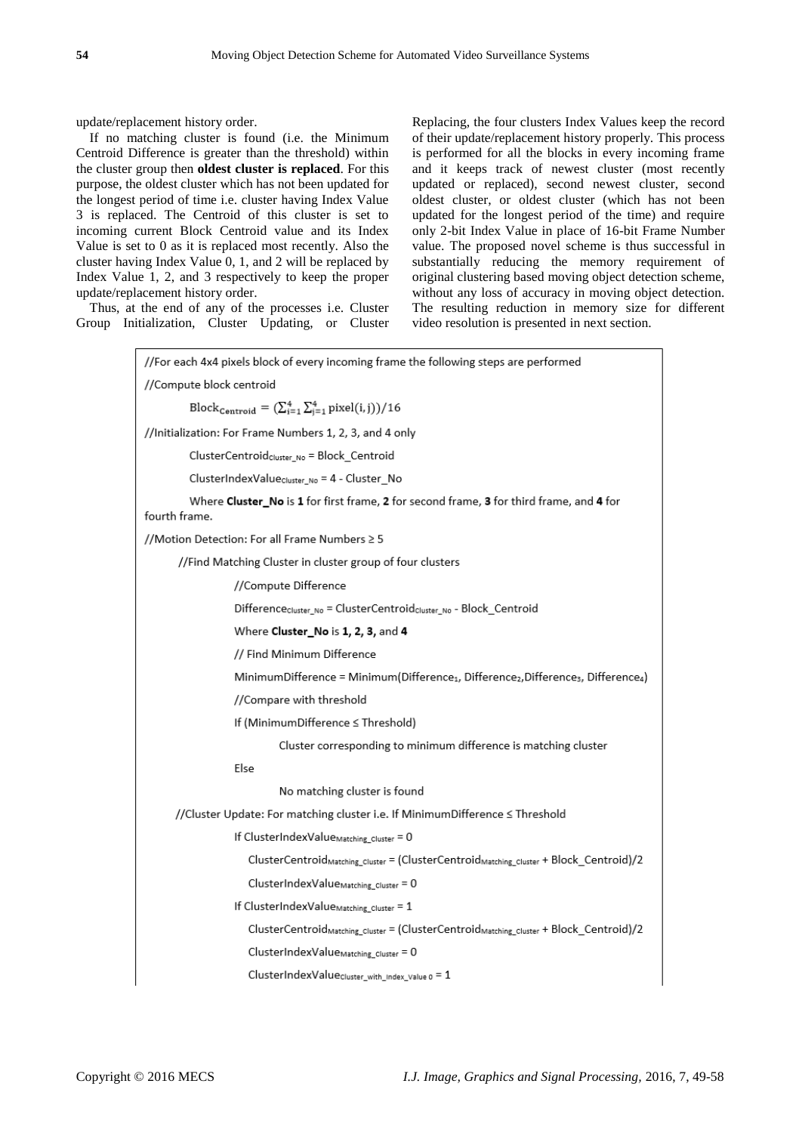update/replacement history order.

If no matching cluster is found (i.e. the Minimum Centroid Difference is greater than the threshold) within the cluster group then **oldest cluster is replaced**. For this purpose, the oldest cluster which has not been updated for the longest period of time i.e. cluster having Index Value 3 is replaced. The Centroid of this cluster is set to incoming current Block Centroid value and its Index Value is set to 0 as it is replaced most recently. Also the cluster having Index Value 0, 1, and 2 will be replaced by Index Value 1, 2, and 3 respectively to keep the proper update/replacement history order.

Thus, at the end of any of the processes i.e. Cluster Group Initialization, Cluster Updating, or Cluster Replacing, the four clusters Index Values keep the record of their update/replacement history properly. This process is performed for all the blocks in every incoming frame and it keeps track of newest cluster (most recently updated or replaced), second newest cluster, second oldest cluster, or oldest cluster (which has not been updated for the longest period of the time) and require only 2-bit Index Value in place of 16-bit Frame Number value. The proposed novel scheme is thus successful in substantially reducing the memory requirement of original clustering based moving object detection scheme, without any loss of accuracy in moving object detection. The resulting reduction in memory size for different video resolution is presented in next section.

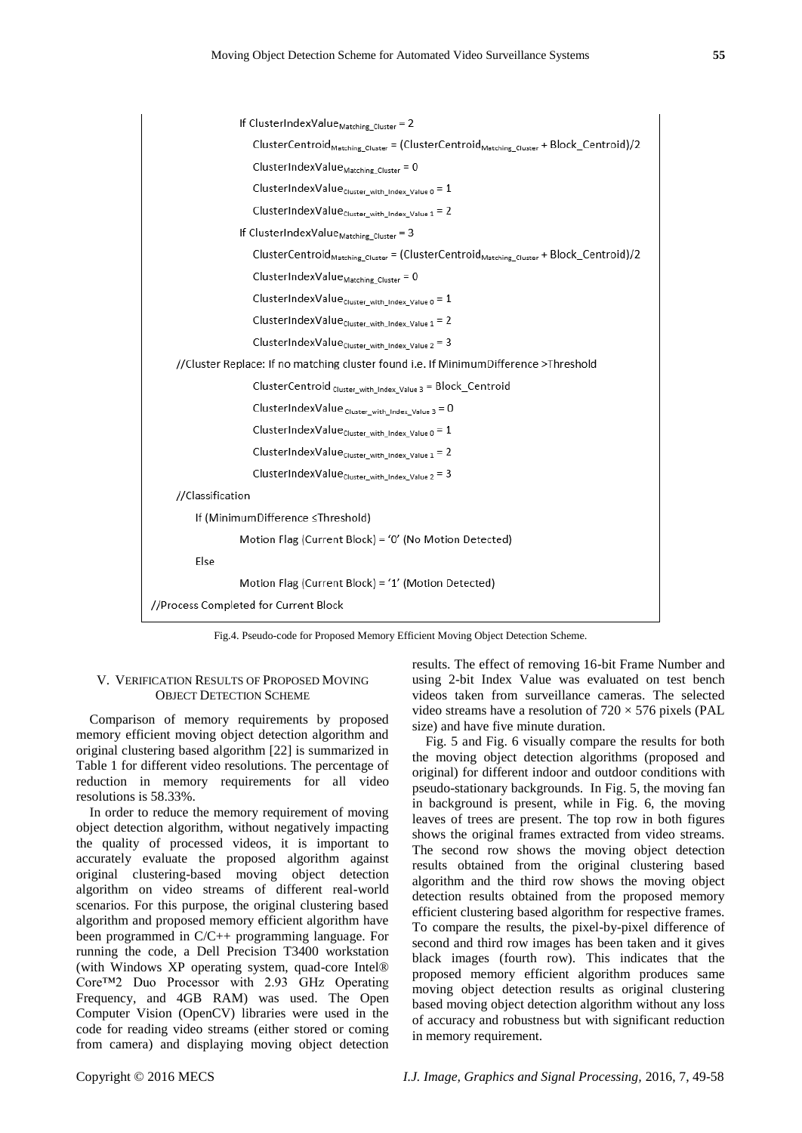

Fig.4. Pseudo-code for Proposed Memory Efficient Moving Object Detection Scheme.

#### V. VERIFICATION RESULTS OF PROPOSED MOVING OBJECT DETECTION SCHEME

Comparison of memory requirements by proposed memory efficient moving object detection algorithm and original clustering based algorithm [22] is summarized in Table 1 for different video resolutions. The percentage of reduction in memory requirements for all video resolutions is 58.33%.

In order to reduce the memory requirement of moving object detection algorithm, without negatively impacting the quality of processed videos, it is important to accurately evaluate the proposed algorithm against original clustering-based moving object detection algorithm on video streams of different real-world scenarios. For this purpose, the original clustering based algorithm and proposed memory efficient algorithm have been programmed in C/C++ programming language. For running the code, a Dell Precision T3400 workstation (with Windows XP operating system, quad-core Intel® Core™2 Duo Processor with 2.93 GHz Operating Frequency, and 4GB RAM) was used. The Open Computer Vision (OpenCV) libraries were used in the code for reading video streams (either stored or coming from camera) and displaying moving object detection

results. The effect of removing 16-bit Frame Number and using 2-bit Index Value was evaluated on test bench videos taken from surveillance cameras. The selected video streams have a resolution of  $720 \times 576$  pixels (PAL size) and have five minute duration.

Fig. 5 and Fig. 6 visually compare the results for both the moving object detection algorithms (proposed and original) for different indoor and outdoor conditions with pseudo-stationary backgrounds. In Fig. 5, the moving fan in background is present, while in Fig. 6, the moving leaves of trees are present. The top row in both figures shows the original frames extracted from video streams. The second row shows the moving object detection results obtained from the original clustering based algorithm and the third row shows the moving object detection results obtained from the proposed memory efficient clustering based algorithm for respective frames. To compare the results, the pixel-by-pixel difference of second and third row images has been taken and it gives black images (fourth row). This indicates that the proposed memory efficient algorithm produces same moving object detection results as original clustering based moving object detection algorithm without any loss of accuracy and robustness but with significant reduction in memory requirement.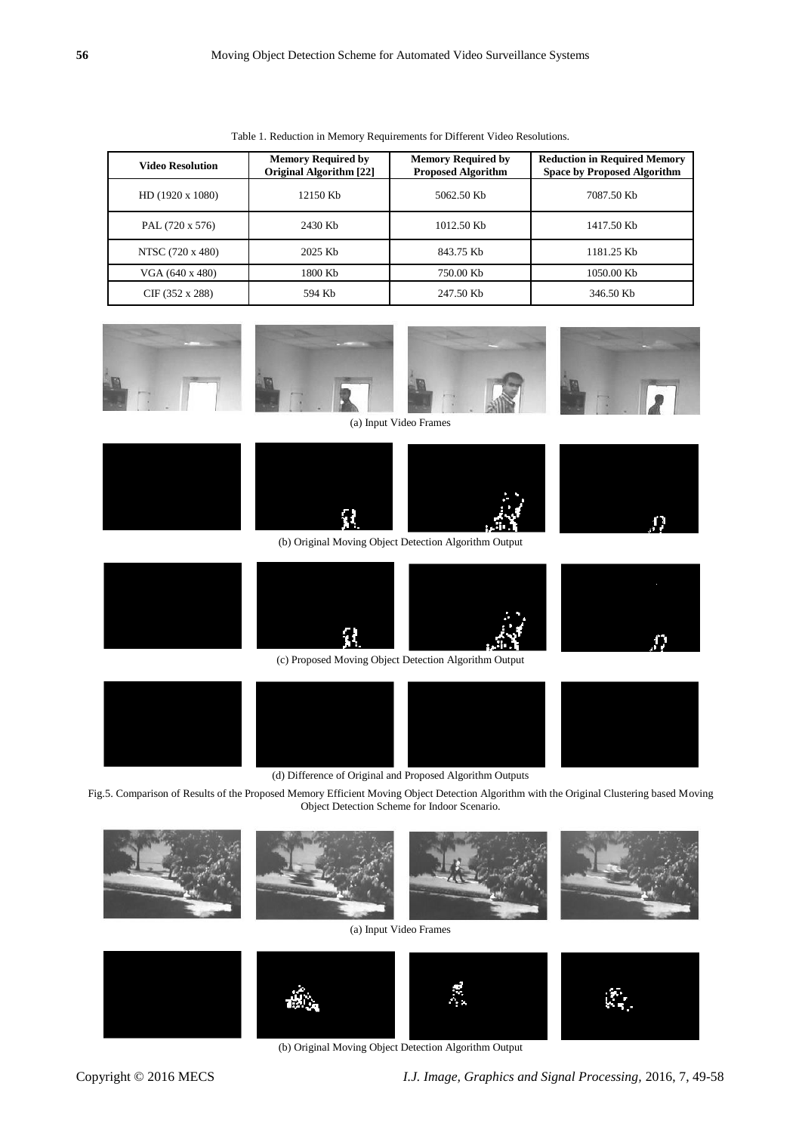| <b>Video Resolution</b> | <b>Memory Required by</b><br><b>Original Algorithm [22]</b> | <b>Memory Required by</b><br><b>Proposed Algorithm</b> | <b>Reduction in Required Memory</b><br><b>Space by Proposed Algorithm</b> |
|-------------------------|-------------------------------------------------------------|--------------------------------------------------------|---------------------------------------------------------------------------|
| $HD(1920 \times 1080)$  | 12150 Kb                                                    | 5062.50 Kb                                             | 7087.50 Kb                                                                |
| PAL (720 x 576)         | 2430 Kb                                                     | 1012.50 Kb                                             | 1417.50 Kb                                                                |
| NTSC (720 x 480)        | 2025 Kb                                                     | 843.75 Kb                                              | 1181.25 Kb                                                                |
| VGA (640 x 480)         | 1800 Kb                                                     | 750.00 Kb                                              | 1050.00 Kb                                                                |
| CIF(352 x 288)          | 594 Kb                                                      | 247.50 Kb                                              | 346.50 Kb                                                                 |

Table 1. Reduction in Memory Requirements for Different Video Resolutions.



(d) Difference of Original and Proposed Algorithm Outputs

Fig.5. Comparison of Results of the Proposed Memory Efficient Moving Object Detection Algorithm with the Original Clustering based Moving Object Detection Scheme for Indoor Scenario.



(a) Input Video Frames



(b) Original Moving Object Detection Algorithm Output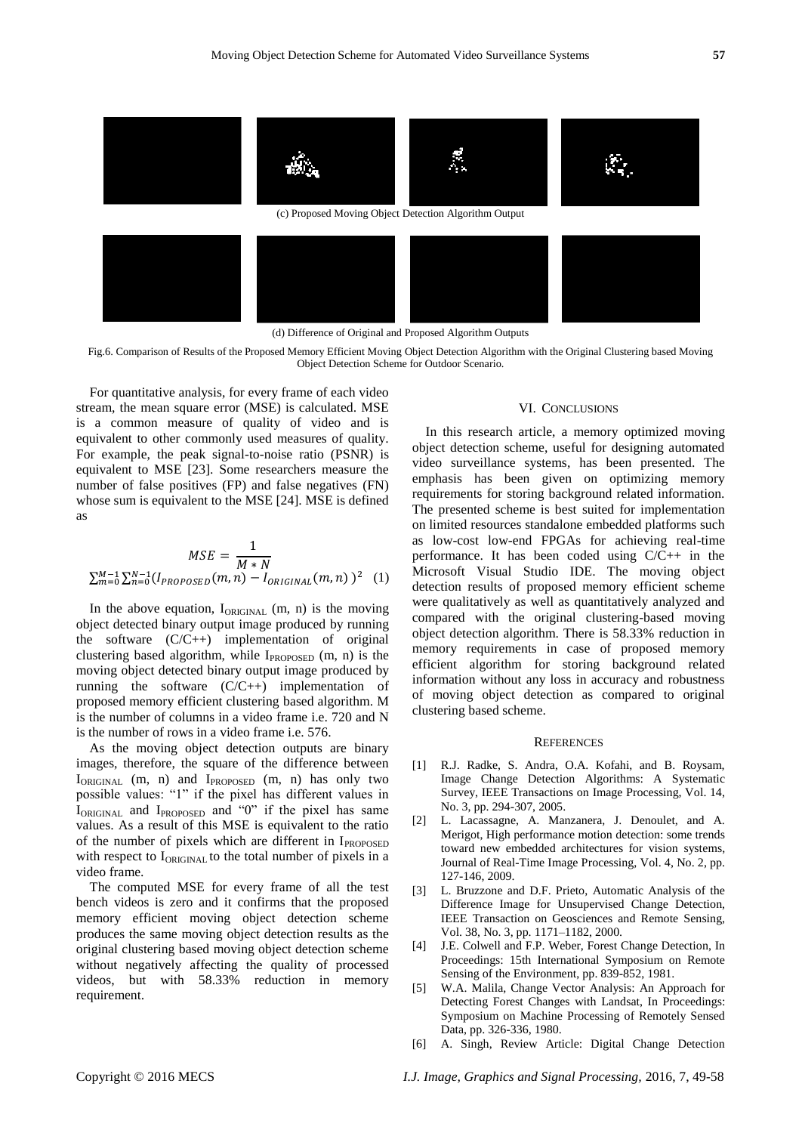

(d) Difference of Original and Proposed Algorithm Outputs

Fig.6. Comparison of Results of the Proposed Memory Efficient Moving Object Detection Algorithm with the Original Clustering based Moving Object Detection Scheme for Outdoor Scenario.

For quantitative analysis, for every frame of each video stream, the mean square error (MSE) is calculated. MSE is a common measure of quality of video and is equivalent to other commonly used measures of quality. For example, the peak signal-to-noise ratio (PSNR) is equivalent to MSE [23]. Some researchers measure the number of false positives (FP) and false negatives (FN) whose sum is equivalent to the MSE [24]. MSE is defined as

$$
MSE = \frac{1}{M*N}
$$
  

$$
\sum_{m=0}^{M-1} \sum_{n=0}^{N-1} (I_{PROPOSED}(m, n) - I_{ORIGINAL}(m, n))^{2}
$$
 (1)

In the above equation,  $I_{ORIGINAL}$  (m, n) is the moving object detected binary output image produced by running the software (C/C++) implementation of original clustering based algorithm, while I<sub>PROPOSED</sub> (m, n) is the moving object detected binary output image produced by running the software (C/C++) implementation of proposed memory efficient clustering based algorithm. M is the number of columns in a video frame i.e. 720 and N is the number of rows in a video frame i.e. 576.

As the moving object detection outputs are binary images, therefore, the square of the difference between IORIGINAL (m, n) and IPROPOSED (m, n) has only two possible values: "1" if the pixel has different values in  $I_{ORIGINAL}$  and  $I_{PROPOSED}$  and "0" if the pixel has same values. As a result of this MSE is equivalent to the ratio of the number of pixels which are different in  $I_{PROPOSED}$ with respect to I<sub>ORIGINAL</sub> to the total number of pixels in a video frame.

The computed MSE for every frame of all the test bench videos is zero and it confirms that the proposed memory efficient moving object detection scheme produces the same moving object detection results as the original clustering based moving object detection scheme without negatively affecting the quality of processed videos, but with 58.33% reduction in memory requirement.

### VI. CONCLUSIONS

In this research article, a memory optimized moving object detection scheme, useful for designing automated video surveillance systems, has been presented. The emphasis has been given on optimizing memory requirements for storing background related information. The presented scheme is best suited for implementation on limited resources standalone embedded platforms such as low-cost low-end FPGAs for achieving real-time performance. It has been coded using C/C++ in the Microsoft Visual Studio IDE. The moving object detection results of proposed memory efficient scheme were qualitatively as well as quantitatively analyzed and compared with the original clustering-based moving object detection algorithm. There is 58.33% reduction in memory requirements in case of proposed memory efficient algorithm for storing background related information without any loss in accuracy and robustness of moving object detection as compared to original clustering based scheme.

#### **REFERENCES**

- [1] R.J. Radke, S. Andra, O.A. Kofahi, and B. Roysam, Image Change Detection Algorithms: A Systematic Survey, IEEE Transactions on Image Processing, Vol. 14, No. 3, pp. 294-307, 2005.
- [2] L. Lacassagne, A. Manzanera, J. Denoulet, and A. Merigot, High performance motion detection: some trends toward new embedded architectures for vision systems, Journal of Real-Time Image Processing, Vol. 4, No. 2, pp. 127-146, 2009.
- [3] L. Bruzzone and D.F. Prieto, Automatic Analysis of the Difference Image for Unsupervised Change Detection, IEEE Transaction on Geosciences and Remote Sensing, Vol. 38, No. 3, pp. 1171–1182, 2000.
- [4] J.E. Colwell and F.P. Weber, Forest Change Detection, In Proceedings: 15th International Symposium on Remote Sensing of the Environment, pp. 839-852, 1981.
- [5] W.A. Malila, Change Vector Analysis: An Approach for Detecting Forest Changes with Landsat, In Proceedings: Symposium on Machine Processing of Remotely Sensed Data, pp. 326-336, 1980.
- [6] A. Singh, Review Article: Digital Change Detection